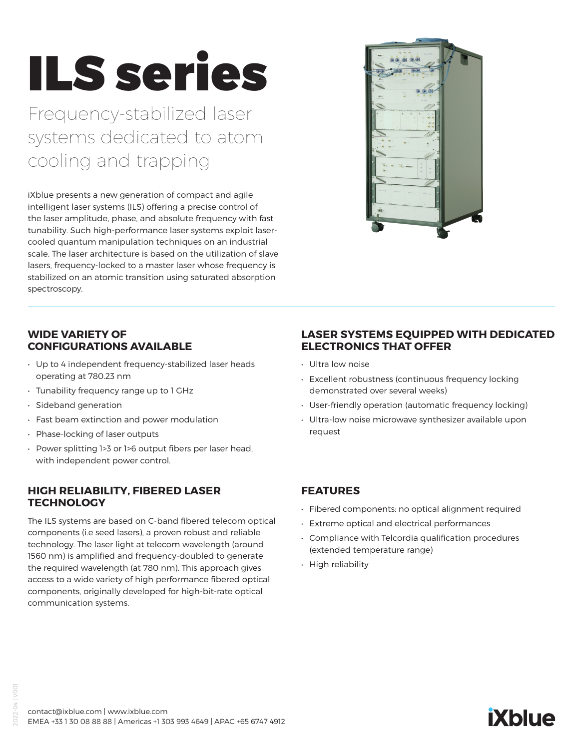# ILS series

Frequency-stabilized laser systems dedicated to atom cooling and trapping

iXblue presents a new generation of compact and agile intelligent laser systems (ILS) offering a precise control of the laser amplitude, phase, and absolute frequency with fast tunability. Such high-performance laser systems exploit lasercooled quantum manipulation techniques on an industrial scale. The laser architecture is based on the utilization of slave lasers, frequency-locked to a master laser whose frequency is stabilized on an atomic transition using saturated absorption spectroscopy.



#### **WIDE VARIETY OF CONFIGURATIONS AVAILABLE**

- Up to 4 independent frequency-stabilized laser heads operating at 780.23 nm
- Tunability frequency range up to 1 GHz
- Sideband generation
- Fast beam extinction and power modulation
- Phase-locking of laser outputs
- Power splitting 1>3 or 1>6 output fibers per laser head, with independent power control.

#### **HIGH RELIABILITY, FIBERED LASER TECHNOLOGY**

The ILS systems are based on C-band fibered telecom optical components (i.e seed lasers), a proven robust and reliable technology. The laser light at telecom wavelength (around 1560 nm) is amplified and frequency-doubled to generate the required wavelength (at 780 nm). This approach gives access to a wide variety of high performance fibered optical components, originally developed for high-bit-rate optical communication systems.

#### **LASER SYSTEMS EQUIPPED WITH DEDICATED ELECTRONICS THAT OFFER**

- Ultra low noise
- Excellent robustness (continuous frequency locking demonstrated over several weeks)
- User-friendly operation (automatic frequency locking)
- Ultra-low noise microwave synthesizer available upon request

#### **FEATURES**

- Fibered components: no optical alignment required
- Extreme optical and electrical performances
- Compliance with Telcordia qualification procedures (extended temperature range)
- High reliability

## **iXblue**